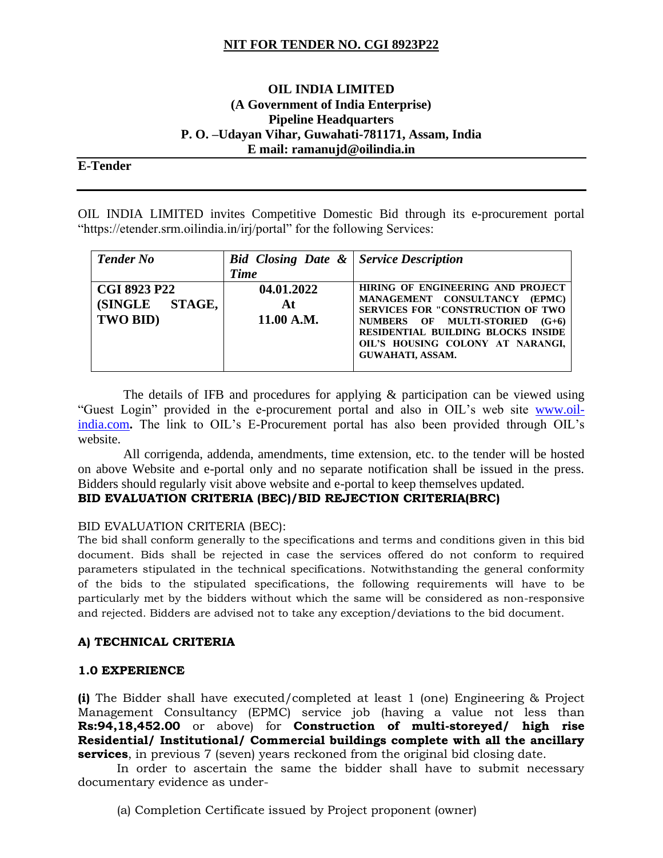# **NIT FOR TENDER NO. CGI 8923P22**

### **OIL INDIA LIMITED (A Government of India Enterprise) Pipeline Headquarters P. O. –Udayan Vihar, Guwahati-781171, Assam, India E mail: ramanujd@oilindia.in**

### **E-Tender**

OIL INDIA LIMITED invites Competitive Domestic Bid through its e-procurement portal "https://etender.srm.oilindia.in/irj/portal" for the following Services:

| <b>Tender No</b>                                  | <b>Bid Closing Date &amp;   Service Description</b><br><b>Time</b> |                                                                                                                                                                                                                                                        |
|---------------------------------------------------|--------------------------------------------------------------------|--------------------------------------------------------------------------------------------------------------------------------------------------------------------------------------------------------------------------------------------------------|
| <b>CGI 8923 P22</b><br>(SINGLE STAGE,<br>TWO BID) | 04.01.2022<br>At<br>11.00 A.M.                                     | HIRING OF ENGINEERING AND PROJECT<br>MANAGEMENT CONSULTANCY<br>(EPMC)<br><b>SERVICES FOR "CONSTRUCTION OF TWO</b><br>NUMBERS OF MULTI-STORIED<br>$(G+6)$<br>RESIDENTIAL BUILDING BLOCKS INSIDE<br>OIL'S HOUSING COLONY AT NARANGI,<br>GUWAHATI, ASSAM. |

The details of IFB and procedures for applying  $\&$  participation can be viewed using "Guest Login" provided in the e-procurement portal and also in OIL's web site [www.oil](http://www.oil-india.com/)[india.com](http://www.oil-india.com/)**.** The link to OIL's E-Procurement portal has also been provided through OIL's website.

 All corrigenda, addenda, amendments, time extension, etc. to the tender will be hosted on above Website and e-portal only and no separate notification shall be issued in the press. Bidders should regularly visit above website and e-portal to keep themselves updated.

### **BID EVALUATION CRITERIA (BEC)/BID REJECTION CRITERIA(BRC)**

#### BID EVALUATION CRITERIA (BEC):

The bid shall conform generally to the specifications and terms and conditions given in this bid document. Bids shall be rejected in case the services offered do not conform to required parameters stipulated in the technical specifications. Notwithstanding the general conformity of the bids to the stipulated specifications, the following requirements will have to be particularly met by the bidders without which the same will be considered as non-responsive and rejected. Bidders are advised not to take any exception/deviations to the bid document.

#### **A) TECHNICAL CRITERIA**

#### **1.0 EXPERIENCE**

**(i)** The Bidder shall have executed/completed at least 1 (one) Engineering & Project Management Consultancy (EPMC) service job (having a value not less than **Rs:94,18,452.00** or above) for **Construction of multi-storeyed/ high rise Residential/ Institutional/ Commercial buildings complete with all the ancillary services**, in previous 7 (seven) years reckoned from the original bid closing date.

In order to ascertain the same the bidder shall have to submit necessary documentary evidence as under-

(a) Completion Certificate issued by Project proponent (owner)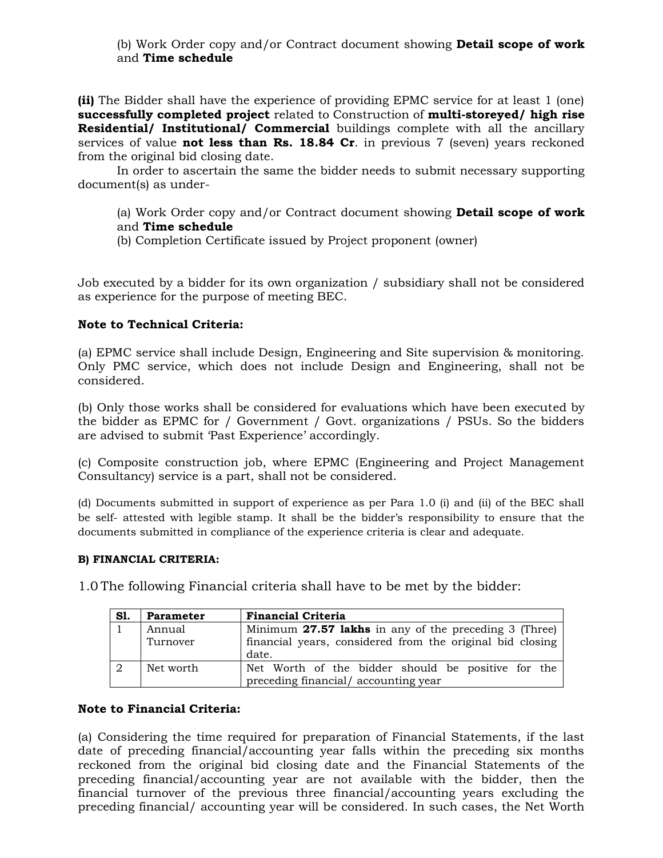(b) Work Order copy and/or Contract document showing **Detail scope of work**  and **Time schedule** 

**(ii)** The Bidder shall have the experience of providing EPMC service for at least 1 (one) **successfully completed project** related to Construction of **multi-storeyed/ high rise Residential/ Institutional/ Commercial** buildings complete with all the ancillary services of value **not less than Rs. 18.84 Cr**. in previous 7 (seven) years reckoned from the original bid closing date.

In order to ascertain the same the bidder needs to submit necessary supporting document(s) as under-

(a) Work Order copy and/or Contract document showing **Detail scope of work**  and **Time schedule** 

(b) Completion Certificate issued by Project proponent (owner)

Job executed by a bidder for its own organization / subsidiary shall not be considered as experience for the purpose of meeting BEC.

## **Note to Technical Criteria:**

(a) EPMC service shall include Design, Engineering and Site supervision & monitoring. Only PMC service, which does not include Design and Engineering, shall not be considered.

(b) Only those works shall be considered for evaluations which have been executed by the bidder as EPMC for / Government / Govt. organizations / PSUs. So the bidders are advised to submit 'Past Experience' accordingly.

(c) Composite construction job, where EPMC (Engineering and Project Management Consultancy) service is a part, shall not be considered.

(d) Documents submitted in support of experience as per Para 1.0 (i) and (ii) of the BEC shall be self- attested with legible stamp. It shall be the bidder's responsibility to ensure that the documents submitted in compliance of the experience criteria is clear and adequate.

#### **B) FINANCIAL CRITERIA:**

1.0 The following Financial criteria shall have to be met by the bidder:

| S1.       | <b>Parameter</b>   | <b>Financial Criteria</b>                                                                                          |  |  |  |
|-----------|--------------------|--------------------------------------------------------------------------------------------------------------------|--|--|--|
|           | Annual<br>Turnover | Minimum 27.57 lakhs in any of the preceding 3 (Three)<br>financial years, considered from the original bid closing |  |  |  |
|           |                    | date.                                                                                                              |  |  |  |
| $\cdot$ 2 | Net worth          | Net Worth of the bidder should be positive for the<br>preceding financial/accounting year                          |  |  |  |

### **Note to Financial Criteria:**

(a) Considering the time required for preparation of Financial Statements, if the last date of preceding financial/accounting year falls within the preceding six months reckoned from the original bid closing date and the Financial Statements of the preceding financial/accounting year are not available with the bidder, then the financial turnover of the previous three financial/accounting years excluding the preceding financial/ accounting year will be considered. In such cases, the Net Worth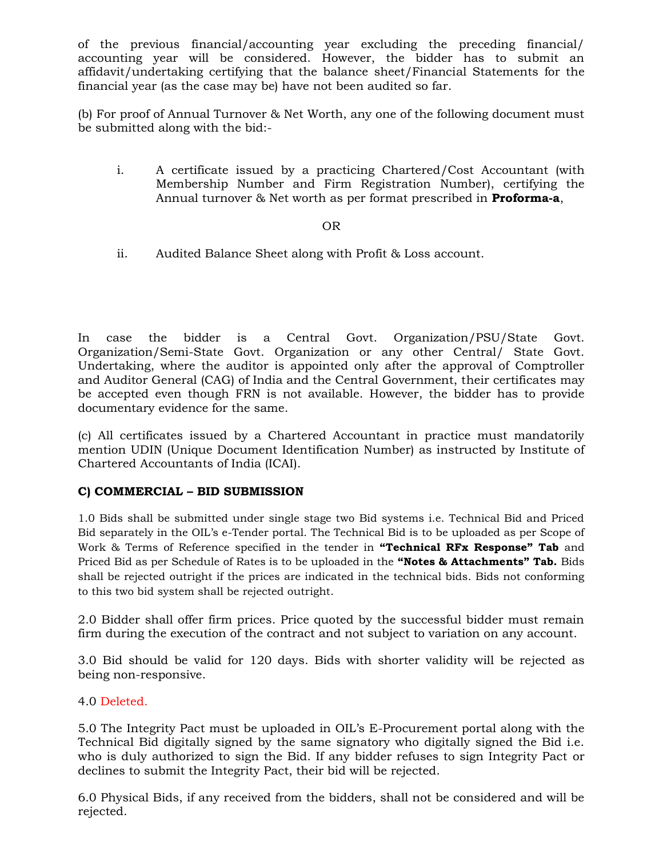of the previous financial/accounting year excluding the preceding financial/ accounting year will be considered. However, the bidder has to submit an affidavit/undertaking certifying that the balance sheet/Financial Statements for the financial year (as the case may be) have not been audited so far.

(b) For proof of Annual Turnover & Net Worth, any one of the following document must be submitted along with the bid:-

i. A certificate issued by a practicing Chartered/Cost Accountant (with Membership Number and Firm Registration Number), certifying the Annual turnover & Net worth as per format prescribed in **Proforma-a**,

### OR

ii. Audited Balance Sheet along with Profit & Loss account.

In case the bidder is a Central Govt. Organization/PSU/State Govt. Organization/Semi-State Govt. Organization or any other Central/ State Govt. Undertaking, where the auditor is appointed only after the approval of Comptroller and Auditor General (CAG) of India and the Central Government, their certificates may be accepted even though FRN is not available. However, the bidder has to provide documentary evidence for the same.

(c) All certificates issued by a Chartered Accountant in practice must mandatorily mention UDIN (Unique Document Identification Number) as instructed by Institute of Chartered Accountants of India (ICAI).

### **C) COMMERCIAL – BID SUBMISSION**

1.0 Bids shall be submitted under single stage two Bid systems i.e. Technical Bid and Priced Bid separately in the OIL's e-Tender portal. The Technical Bid is to be uploaded as per Scope of Work & Terms of Reference specified in the tender in **"Technical RFx Response" Tab** and Priced Bid as per Schedule of Rates is to be uploaded in the **"Notes & Attachments" Tab.** Bids shall be rejected outright if the prices are indicated in the technical bids. Bids not conforming to this two bid system shall be rejected outright.

2.0 Bidder shall offer firm prices. Price quoted by the successful bidder must remain firm during the execution of the contract and not subject to variation on any account.

3.0 Bid should be valid for 120 days. Bids with shorter validity will be rejected as being non-responsive.

### 4.0 Deleted.

5.0 The Integrity Pact must be uploaded in OIL's E-Procurement portal along with the Technical Bid digitally signed by the same signatory who digitally signed the Bid i.e. who is duly authorized to sign the Bid. If any bidder refuses to sign Integrity Pact or declines to submit the Integrity Pact, their bid will be rejected.

6.0 Physical Bids, if any received from the bidders, shall not be considered and will be rejected.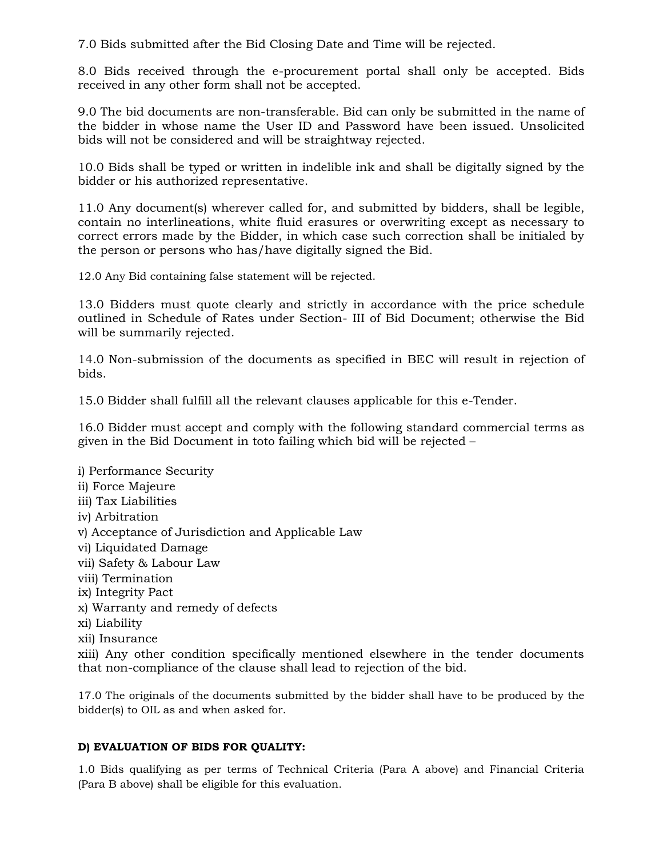7.0 Bids submitted after the Bid Closing Date and Time will be rejected.

8.0 Bids received through the e-procurement portal shall only be accepted. Bids received in any other form shall not be accepted.

9.0 The bid documents are non-transferable. Bid can only be submitted in the name of the bidder in whose name the User ID and Password have been issued. Unsolicited bids will not be considered and will be straightway rejected.

10.0 Bids shall be typed or written in indelible ink and shall be digitally signed by the bidder or his authorized representative.

11.0 Any document(s) wherever called for, and submitted by bidders, shall be legible, contain no interlineations, white fluid erasures or overwriting except as necessary to correct errors made by the Bidder, in which case such correction shall be initialed by the person or persons who has/have digitally signed the Bid.

12.0 Any Bid containing false statement will be rejected.

13.0 Bidders must quote clearly and strictly in accordance with the price schedule outlined in Schedule of Rates under Section- III of Bid Document; otherwise the Bid will be summarily rejected.

14.0 Non-submission of the documents as specified in BEC will result in rejection of bids.

15.0 Bidder shall fulfill all the relevant clauses applicable for this e-Tender.

16.0 Bidder must accept and comply with the following standard commercial terms as given in the Bid Document in toto failing which bid will be rejected –

i) Performance Security ii) Force Majeure iii) Tax Liabilities iv) Arbitration v) Acceptance of Jurisdiction and Applicable Law vi) Liquidated Damage vii) Safety & Labour Law viii) Termination ix) Integrity Pact x) Warranty and remedy of defects xi) Liability xii) Insurance xiii) Any other condition specifically mentioned elsewhere in the tender documents that non-compliance of the clause shall lead to rejection of the bid.

17.0 The originals of the documents submitted by the bidder shall have to be produced by the bidder(s) to OIL as and when asked for.

### **D) EVALUATION OF BIDS FOR QUALITY:**

1.0 Bids qualifying as per terms of Technical Criteria (Para A above) and Financial Criteria (Para B above) shall be eligible for this evaluation.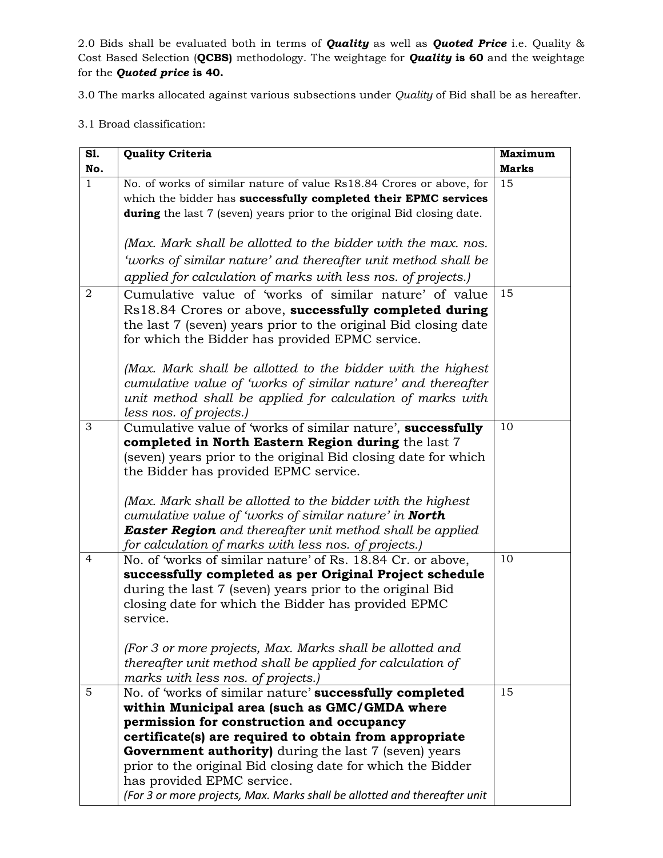2.0 Bids shall be evaluated both in terms of *Quality* as well as *Quoted Price* i.e. Quality & Cost Based Selection (**QCBS)** methodology. The weightage for *Quality* **is 60** and the weightage for the *Quoted price* **is 40.**

3.0 The marks allocated against various subsections under *Quality* of Bid shall be as hereafter.

3.1 Broad classification:

| S1.                 | <b>Quality Criteria</b>                                                                                          | <b>Maximum</b>     |
|---------------------|------------------------------------------------------------------------------------------------------------------|--------------------|
| No.<br>$\mathbf{1}$ | No. of works of similar nature of value Rs18.84 Crores or above, for                                             | <b>Marks</b><br>15 |
|                     | which the bidder has successfully completed their EPMC services                                                  |                    |
|                     | <b>during</b> the last 7 (seven) years prior to the original Bid closing date.                                   |                    |
|                     |                                                                                                                  |                    |
|                     | (Max. Mark shall be allotted to the bidder with the max. nos.                                                    |                    |
|                     | 'works of similar nature' and thereafter unit method shall be                                                    |                    |
|                     | applied for calculation of marks with less nos. of projects.)                                                    |                    |
| 2                   | Cumulative value of 'works of similar nature' of value                                                           | 15                 |
|                     | Rs18.84 Crores or above, successfully completed during                                                           |                    |
|                     | the last 7 (seven) years prior to the original Bid closing date                                                  |                    |
|                     | for which the Bidder has provided EPMC service.                                                                  |                    |
|                     |                                                                                                                  |                    |
|                     | (Max. Mark shall be allotted to the bidder with the highest                                                      |                    |
|                     | cumulative value of 'works of similar nature' and thereafter                                                     |                    |
|                     | unit method shall be applied for calculation of marks with                                                       |                    |
|                     | less nos. of projects.)                                                                                          |                    |
| 3                   | Cumulative value of works of similar nature', successfully                                                       | 10                 |
|                     | completed in North Eastern Region during the last 7                                                              |                    |
|                     | (seven) years prior to the original Bid closing date for which                                                   |                    |
|                     | the Bidder has provided EPMC service.                                                                            |                    |
|                     |                                                                                                                  |                    |
|                     | (Max. Mark shall be allotted to the bidder with the highest                                                      |                    |
|                     | cumulative value of 'works of similar nature' in <b>North</b>                                                    |                    |
|                     | <b>Easter Region</b> and thereafter unit method shall be applied                                                 |                    |
|                     | for calculation of marks with less nos. of projects.)                                                            |                    |
| 4                   | No. of 'works of similar nature' of Rs. 18.84 Cr. or above,                                                      | 10                 |
|                     | successfully completed as per Original Project schedule                                                          |                    |
|                     | during the last 7 (seven) years prior to the original Bid<br>closing date for which the Bidder has provided EPMC |                    |
|                     | service.                                                                                                         |                    |
|                     |                                                                                                                  |                    |
|                     | (For 3 or more projects, Max. Marks shall be allotted and                                                        |                    |
|                     | thereafter unit method shall be applied for calculation of                                                       |                    |
|                     | marks with less nos. of projects.)                                                                               |                    |
| 5                   | No. of 'works of similar nature' successfully completed                                                          | 15                 |
|                     | within Municipal area (such as GMC/GMDA where                                                                    |                    |
|                     | permission for construction and occupancy                                                                        |                    |
|                     | certificate(s) are required to obtain from appropriate                                                           |                    |
|                     | <b>Government authority</b> ) during the last 7 (seven) years                                                    |                    |
|                     | prior to the original Bid closing date for which the Bidder                                                      |                    |
|                     | has provided EPMC service.                                                                                       |                    |
|                     | (For 3 or more projects, Max. Marks shall be allotted and thereafter unit                                        |                    |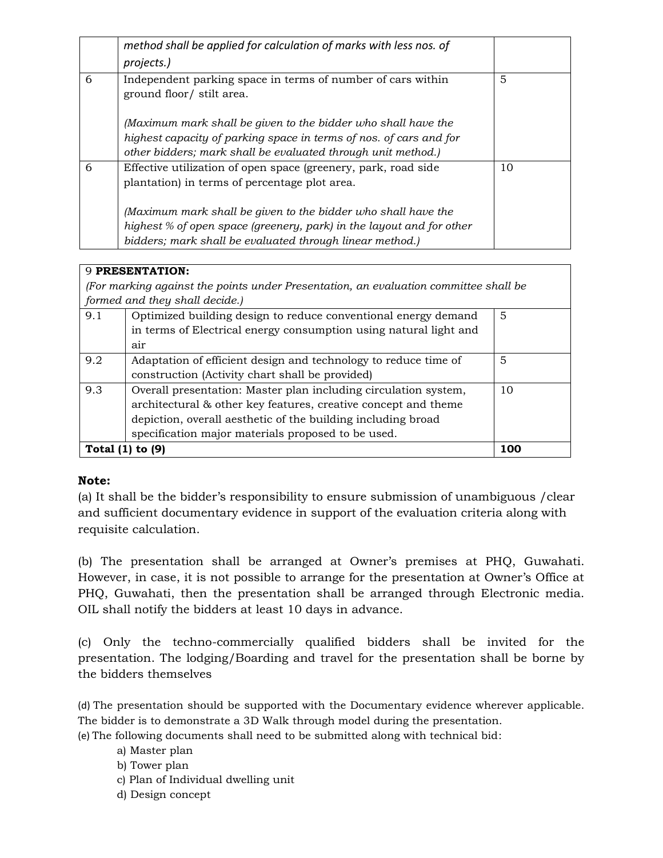|   | method shall be applied for calculation of marks with less nos. of<br>projects.)                                                                                                                    |    |
|---|-----------------------------------------------------------------------------------------------------------------------------------------------------------------------------------------------------|----|
| 6 | Independent parking space in terms of number of cars within<br>ground floor/ stilt area.                                                                                                            | 5  |
|   | (Maximum mark shall be given to the bidder who shall have the<br>highest capacity of parking space in terms of nos. of cars and for<br>other bidders; mark shall be evaluated through unit method.) |    |
| 6 | Effective utilization of open space (greenery, park, road side<br>plantation) in terms of percentage plot area.                                                                                     | 10 |
|   | (Maximum mark shall be given to the bidder who shall have the<br>highest % of open space (greenery, park) in the layout and for other<br>bidders; mark shall be evaluated through linear method.)   |    |

## 9 **PRESENTATION:**

*(For marking against the points under Presentation, an evaluation committee shall be formed and they shall decide.)*

| Torneou and choice of change accession |                                                                   |    |  |
|----------------------------------------|-------------------------------------------------------------------|----|--|
| 9.1                                    | Optimized building design to reduce conventional energy demand    | 5  |  |
|                                        | in terms of Electrical energy consumption using natural light and |    |  |
|                                        | air                                                               |    |  |
| 9.2                                    | Adaptation of efficient design and technology to reduce time of   | 5  |  |
|                                        | construction (Activity chart shall be provided)                   |    |  |
| 9.3                                    | Overall presentation: Master plan including circulation system,   | 10 |  |
|                                        | architectural & other key features, creative concept and theme    |    |  |
|                                        | depiction, overall aesthetic of the building including broad      |    |  |
|                                        | specification major materials proposed to be used.                |    |  |
| Total (1)                              | 100                                                               |    |  |

# **Note:**

(a) It shall be the bidder's responsibility to ensure submission of unambiguous /clear and sufficient documentary evidence in support of the evaluation criteria along with requisite calculation.

(b) The presentation shall be arranged at Owner's premises at PHQ, Guwahati. However, in case, it is not possible to arrange for the presentation at Owner's Office at PHQ, Guwahati, then the presentation shall be arranged through Electronic media. OIL shall notify the bidders at least 10 days in advance.

(c) Only the techno-commercially qualified bidders shall be invited for the presentation. The lodging/Boarding and travel for the presentation shall be borne by the bidders themselves

(d) The presentation should be supported with the Documentary evidence wherever applicable. The bidder is to demonstrate a 3D Walk through model during the presentation.

(e) The following documents shall need to be submitted along with technical bid:

a) Master plan b) Tower plan c) Plan of Individual dwelling unit

d) Design concept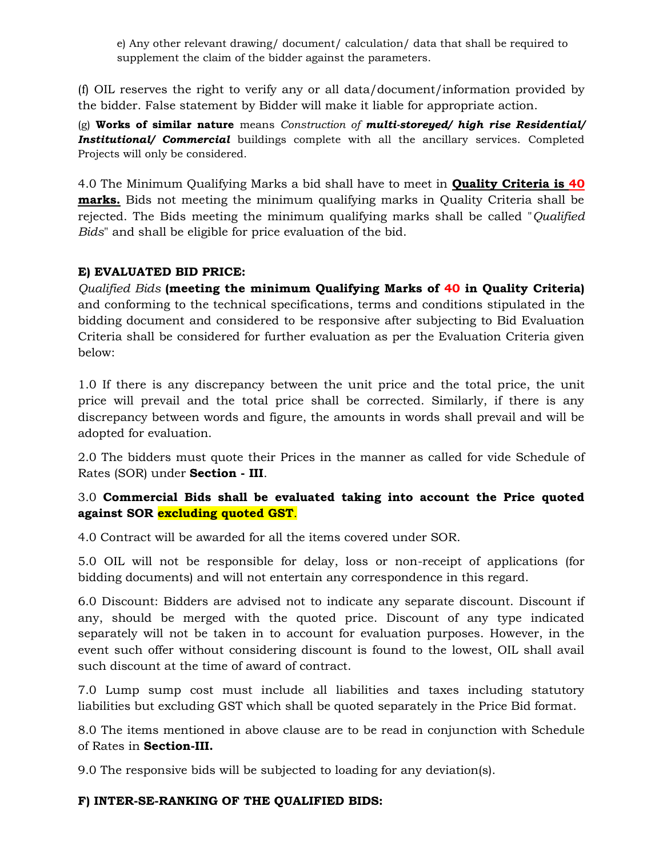e) Any other relevant drawing/ document/ calculation/ data that shall be required to supplement the claim of the bidder against the parameters.

(f) OIL reserves the right to verify any or all data/document/information provided by the bidder. False statement by Bidder will make it liable for appropriate action.

(g) **Works of similar nature** means *Construction of multi-storeyed/ high rise Residential/*  **Institutional/ Commercial** buildings complete with all the ancillary services. Completed Projects will only be considered.

4.0 The Minimum Qualifying Marks a bid shall have to meet in **Quality Criteria is 40 marks.** Bids not meeting the minimum qualifying marks in Quality Criteria shall be rejected. The Bids meeting the minimum qualifying marks shall be called "*Qualified Bids*" and shall be eligible for price evaluation of the bid.

## **E) EVALUATED BID PRICE:**

*Qualified Bids* **(meeting the minimum Qualifying Marks of 40 in Quality Criteria)** and conforming to the technical specifications, terms and conditions stipulated in the bidding document and considered to be responsive after subjecting to Bid Evaluation Criteria shall be considered for further evaluation as per the Evaluation Criteria given below:

1.0 If there is any discrepancy between the unit price and the total price, the unit price will prevail and the total price shall be corrected. Similarly, if there is any discrepancy between words and figure, the amounts in words shall prevail and will be adopted for evaluation.

2.0 The bidders must quote their Prices in the manner as called for vide Schedule of Rates (SOR) under **Section - III**.

# 3.0 **Commercial Bids shall be evaluated taking into account the Price quoted against SOR excluding quoted GST**.

4.0 Contract will be awarded for all the items covered under SOR.

5.0 OIL will not be responsible for delay, loss or non-receipt of applications (for bidding documents) and will not entertain any correspondence in this regard.

6.0 Discount: Bidders are advised not to indicate any separate discount. Discount if any, should be merged with the quoted price. Discount of any type indicated separately will not be taken in to account for evaluation purposes. However, in the event such offer without considering discount is found to the lowest, OIL shall avail such discount at the time of award of contract.

7.0 Lump sump cost must include all liabilities and taxes including statutory liabilities but excluding GST which shall be quoted separately in the Price Bid format.

8.0 The items mentioned in above clause are to be read in conjunction with Schedule of Rates in **Section-III.**

9.0 The responsive bids will be subjected to loading for any deviation(s).

# **F) INTER-SE-RANKING OF THE QUALIFIED BIDS:**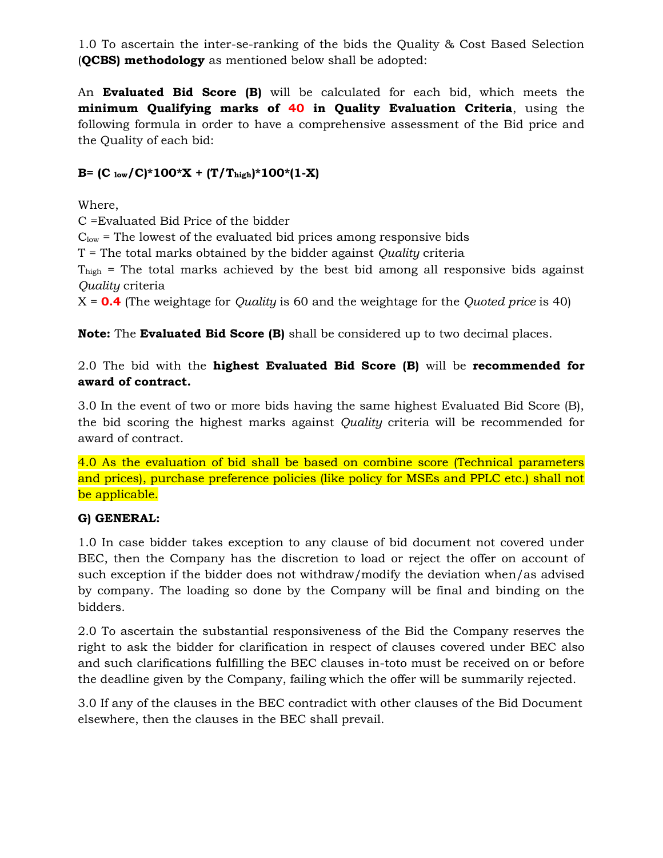1.0 To ascertain the inter-se-ranking of the bids the Quality & Cost Based Selection (**QCBS) methodology** as mentioned below shall be adopted:

An **Evaluated Bid Score (B)** will be calculated for each bid, which meets the **minimum Qualifying marks of 40 in Quality Evaluation Criteria**, using the following formula in order to have a comprehensive assessment of the Bid price and the Quality of each bid:

# **B**=  $(C_{low}/C)^*100^*X + (T/T_{high})^*100^*(1-X)$

Where,

C =Evaluated Bid Price of the bidder

 $C_{\text{low}}$  = The lowest of the evaluated bid prices among responsive bids

T = The total marks obtained by the bidder against *Quality* criteria

 $T<sub>hich</sub>$  = The total marks achieved by the best bid among all responsive bids against *Quality* criteria

X = **0.4** (The weightage for *Quality* is 60 and the weightage for the *Quoted price* is 40)

**Note:** The **Evaluated Bid Score (B)** shall be considered up to two decimal places.

# 2.0 The bid with the **highest Evaluated Bid Score (B)** will be **recommended for award of contract.**

3.0 In the event of two or more bids having the same highest Evaluated Bid Score (B), the bid scoring the highest marks against *Quality* criteria will be recommended for award of contract.

4.0 As the evaluation of bid shall be based on combine score (Technical parameters and prices), purchase preference policies (like policy for MSEs and PPLC etc.) shall not be applicable.

# **G) GENERAL:**

1.0 In case bidder takes exception to any clause of bid document not covered under BEC, then the Company has the discretion to load or reject the offer on account of such exception if the bidder does not withdraw/modify the deviation when/as advised by company. The loading so done by the Company will be final and binding on the bidders.

2.0 To ascertain the substantial responsiveness of the Bid the Company reserves the right to ask the bidder for clarification in respect of clauses covered under BEC also and such clarifications fulfilling the BEC clauses in-toto must be received on or before the deadline given by the Company, failing which the offer will be summarily rejected.

3.0 If any of the clauses in the BEC contradict with other clauses of the Bid Document elsewhere, then the clauses in the BEC shall prevail.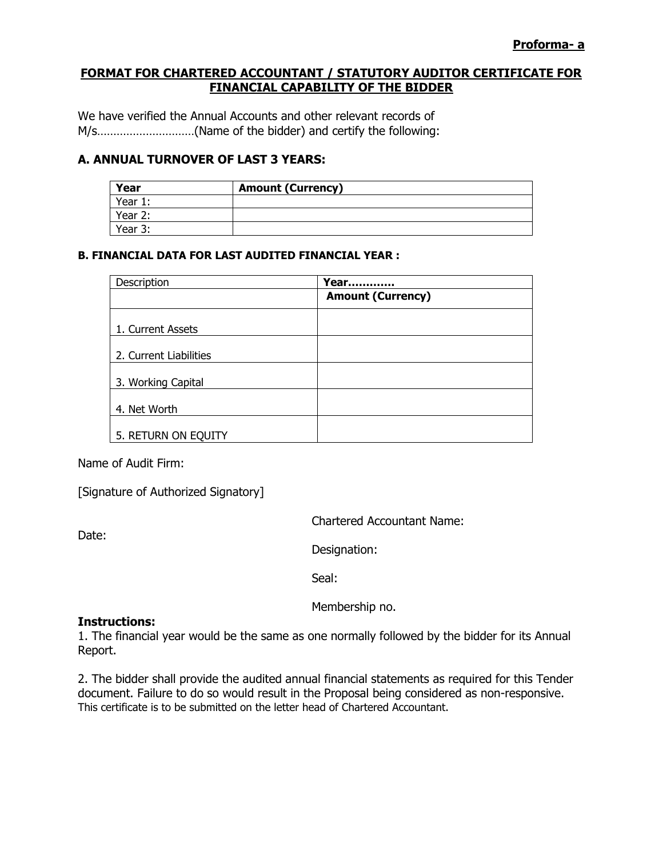### **FORMAT FOR CHARTERED ACCOUNTANT / STATUTORY AUDITOR CERTIFICATE FOR FINANCIAL CAPABILITY OF THE BIDDER**

We have verified the Annual Accounts and other relevant records of M/s…………………………(Name of the bidder) and certify the following:

### **A. ANNUAL TURNOVER OF LAST 3 YEARS:**

| Year    | <b>Amount (Currency)</b> |
|---------|--------------------------|
| Year 1: |                          |
| Year 2: |                          |
| Year 3: |                          |

### **B. FINANCIAL DATA FOR LAST AUDITED FINANCIAL YEAR :**

| Description            | Year<br>                 |
|------------------------|--------------------------|
|                        | <b>Amount (Currency)</b> |
| 1. Current Assets      |                          |
| 2. Current Liabilities |                          |
| 3. Working Capital     |                          |
| 4. Net Worth           |                          |
| 5. RETURN ON EQUITY    |                          |

Name of Audit Firm:

[Signature of Authorized Signatory]

Date:

Chartered Accountant Name:

Designation:

Seal:

Membership no.

#### **Instructions:**

1. The financial year would be the same as one normally followed by the bidder for its Annual Report.

2. The bidder shall provide the audited annual financial statements as required for this Tender document. Failure to do so would result in the Proposal being considered as non-responsive. This certificate is to be submitted on the letter head of Chartered Accountant.